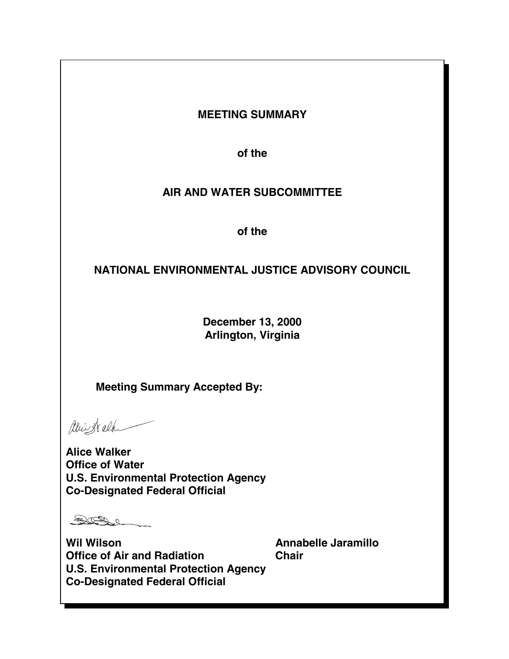# **MEETING SUMMARY**

**of the** 

# **AIR AND WATER SUBCOMMITTEE**

**of the** 

# **NATIONAL ENVIRONMENTAL JUSTICE ADVISORY COUNCIL**

**December 13, 2000 Arlington, Virginia** 

**Meeting Summary Accepted By:** 

abiest alk

**Alice Walker Office of Water U.S. Environmental Protection Agency Co-Designated Federal Official** 

SIBel

Wil Wilson **Millary Annabelle Jaramillo Office of Air and Radiation Chair U.S. Environmental Protection Agency Co-Designated Federal Official**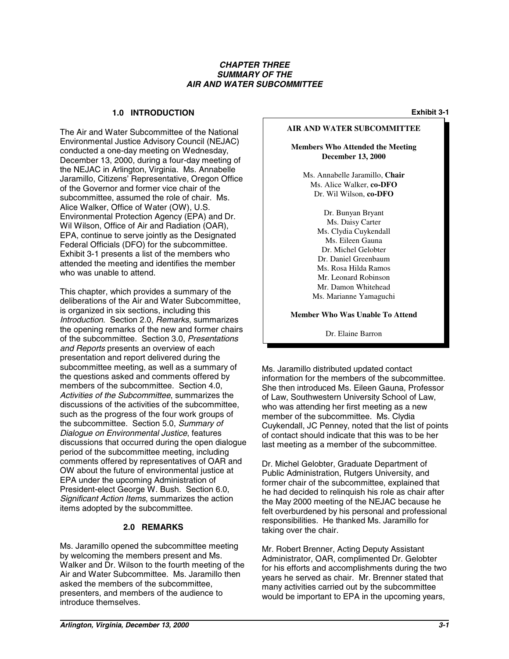#### *CHAPTER THREE SUMMARY OF THE AIR AND WATER SUBCOMMITTEE*

#### **1.0 INTRODUCTION Exhibit 3-1**

The Air and Water Subcommittee of the National Environmental Justice Advisory Council (NEJAC) conducted a one-day meeting on Wednesday, December 13, 2000, during a four-day meeting of the NEJAC in Arlington, Virginia. Ms. Annabelle Jaramillo, Citizens' Representative, Oregon Office of the Governor and former vice chair of the subcommittee, assumed the role of chair. Ms. Alice Walker, Office of Water (OW), U.S. Environmental Protection Agency (EPA) and Dr. Wil Wilson, Office of Air and Radiation (OAR), EPA, continue to serve jointly as the Designated Federal Officials (DFO) for the subcommittee. Exhibit 3-1 presents a list of the members who attended the meeting and identifies the member who was unable to attend.

This chapter, which provides a summary of the deliberations of the Air and Water Subcommittee, is organized in six sections, including this *Introduction*. Section 2.0, *Remarks*, summarizes the opening remarks of the new and former chairs of the subcommittee. Section 3.0, *Presentations and Reports* presents an overview of each presentation and report delivered during the subcommittee meeting, as well as a summary of the questions asked and comments offered by members of the subcommittee. Section 4.0, *Activities of the Subcommittee*, summarizes the discussions of the activities of the subcommittee, such as the progress of the four work groups of the subcommittee. Section 5.0, *Summary of Dialogue on Environmental Justice*, features discussions that occurred during the open dialogue period of the subcommittee meeting, including comments offered by representatives of OAR and OW about the future of environmental justice at EPA under the upcoming Administration of President-elect George W. Bush. Section 6.0, *Significant Action Items*, summarizes the action items adopted by the subcommittee.

### **2.0 REMARKS**

Ms. Jaramillo opened the subcommittee meeting by welcoming the members present and Ms. Walker and Dr. Wilson to the fourth meeting of the Air and Water Subcommittee. Ms. Jaramillo then asked the members of the subcommittee, presenters, and members of the audience to introduce themselves.

#### **AIR AND WATER SUBCOMMITTEE**

**Members Who Attended the Meeting December 13, 2000** 

Ms. Annabelle Jaramillo, **Chair** Ms. Alice Walker, **co-DFO** Dr. Wil Wilson, **co-DFO** 

> Dr. Bunyan Bryant Ms. Daisy Carter Ms. Clydia Cuykendall Ms. Eileen Gauna Dr. Michel Gelobter Dr. Daniel Greenbaum Ms. Rosa Hilda Ramos Mr. Leonard Robinson Mr. Damon Whitehead Ms. Marianne Yamaguchi

**Member Who Was Unable To Attend** 

Dr. Elaine Barron

Ms. Jaramillo distributed updated contact information for the members of the subcommittee. She then introduced Ms. Eileen Gauna, Professor of Law, Southwestern University School of Law, who was attending her first meeting as a new member of the subcommittee. Ms. Clydia Cuykendall, JC Penney, noted that the list of points of contact should indicate that this was to be her last meeting as a member of the subcommittee.

Dr. Michel Gelobter, Graduate Department of Public Administration, Rutgers University, and former chair of the subcommittee, explained that he had decided to relinquish his role as chair after the May 2000 meeting of the NEJAC because he felt overburdened by his personal and professional responsibilities. He thanked Ms. Jaramillo for taking over the chair.

Mr. Robert Brenner, Acting Deputy Assistant Administrator, OAR, complimented Dr. Gelobter for his efforts and accomplishments during the two years he served as chair. Mr. Brenner stated that many activities carried out by the subcommittee would be important to EPA in the upcoming years,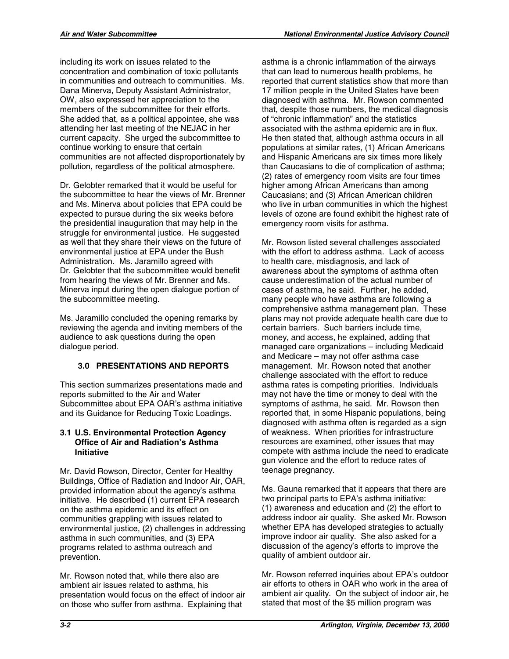including its work on issues related to the concentration and combination of toxic pollutants in communities and outreach to communities. Ms. Dana Minerva, Deputy Assistant Administrator, OW, also expressed her appreciation to the members of the subcommittee for their efforts. She added that, as a political appointee, she was attending her last meeting of the NEJAC in her current capacity. She urged the subcommittee to continue working to ensure that certain communities are not affected disproportionately by pollution, regardless of the political atmosphere.

Dr. Gelobter remarked that it would be useful for the subcommittee to hear the views of Mr. Brenner and Ms. Minerva about policies that EPA could be expected to pursue during the six weeks before the presidential inauguration that may help in the struggle for environmental justice. He suggested as well that they share their views on the future of environmental justice at EPA under the Bush Administration. Ms. Jaramillo agreed with Dr. Gelobter that the subcommittee would benefit from hearing the views of Mr. Brenner and Ms. Minerva input during the open dialogue portion of the subcommittee meeting.

Ms. Jaramillo concluded the opening remarks by reviewing the agenda and inviting members of the audience to ask questions during the open dialogue period.

## **3.0 PRESENTATIONS AND REPORTS**

This section summarizes presentations made and reports submitted to the Air and Water Subcommittee about EPA OAR's asthma initiative and its Guidance for Reducing Toxic Loadings.

### **3.1 U.S. Environmental Protection Agency Office of Air and Radiation's Asthma Initiative**

Mr. David Rowson, Director, Center for Healthy Buildings, Office of Radiation and Indoor Air, OAR, provided information about the agency's asthma initiative. He described (1) current EPA research on the asthma epidemic and its effect on communities grappling with issues related to environmental justice, (2) challenges in addressing asthma in such communities, and (3) EPA programs related to asthma outreach and prevention.

Mr. Rowson noted that, while there also are ambient air issues related to asthma, his presentation would focus on the effect of indoor air on those who suffer from asthma. Explaining that

asthma is a chronic inflammation of the airways that can lead to numerous health problems, he reported that current statistics show that more than 17 million people in the United States have been diagnosed with asthma. Mr. Rowson commented that, despite those numbers, the medical diagnosis of "chronic inflammation" and the statistics associated with the asthma epidemic are in flux. He then stated that, although asthma occurs in all populations at similar rates, (1) African Americans and Hispanic Americans are six times more likely than Caucasians to die of complication of asthma; (2) rates of emergency room visits are four times higher among African Americans than among Caucasians; and (3) African American children who live in urban communities in which the highest levels of ozone are found exhibit the highest rate of emergency room visits for asthma.

Mr. Rowson listed several challenges associated with the effort to address asthma. Lack of access to health care, misdiagnosis, and lack of awareness about the symptoms of asthma often cause underestimation of the actual number of cases of asthma, he said. Further, he added, many people who have asthma are following a comprehensive asthma management plan. These plans may not provide adequate health care due to certain barriers. Such barriers include time, money, and access, he explained, adding that managed care organizations – including Medicaid and Medicare – may not offer asthma case management. Mr. Rowson noted that another challenge associated with the effort to reduce asthma rates is competing priorities. Individuals may not have the time or money to deal with the symptoms of asthma, he said. Mr. Rowson then reported that, in some Hispanic populations, being diagnosed with asthma often is regarded as a sign of weakness. When priorities for infrastructure resources are examined, other issues that may compete with asthma include the need to eradicate gun violence and the effort to reduce rates of teenage pregnancy.

Ms. Gauna remarked that it appears that there are two principal parts to EPA's asthma initiative: (1) awareness and education and (2) the effort to address indoor air quality. She asked Mr. Rowson whether EPA has developed strategies to actually improve indoor air quality. She also asked for a discussion of the agency's efforts to improve the quality of ambient outdoor air.

Mr. Rowson referred inquiries about EPA's outdoor air efforts to others in OAR who work in the area of ambient air quality. On the subject of indoor air, he stated that most of the \$5 million program was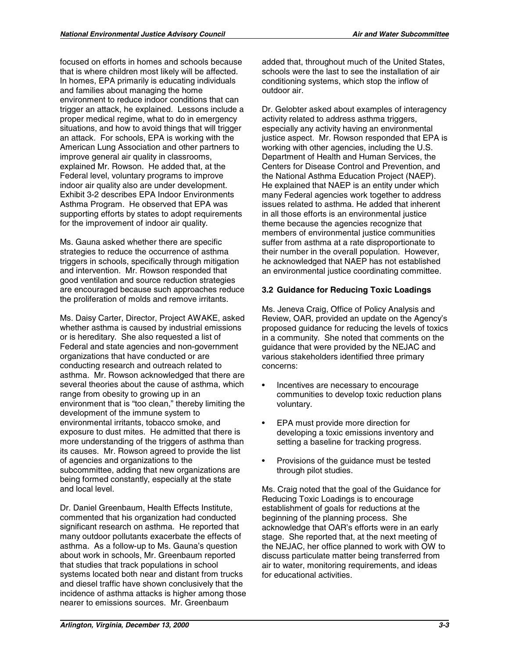focused on efforts in homes and schools because that is where children most likely will be affected. In homes, EPA primarily is educating individuals and families about managing the home environment to reduce indoor conditions that can trigger an attack, he explained. Lessons include a proper medical regime, what to do in emergency situations, and how to avoid things that will trigger an attack. For schools, EPA is working with the American Lung Association and other partners to improve general air quality in classrooms, explained Mr. Rowson. He added that, at the Federal level, voluntary programs to improve indoor air quality also are under development. Exhibit 3-2 describes EPA Indoor Environments Asthma Program. He observed that EPA was supporting efforts by states to adopt requirements for the improvement of indoor air quality.

Ms. Gauna asked whether there are specific strategies to reduce the occurrence of asthma triggers in schools, specifically through mitigation and intervention. Mr. Rowson responded that good ventilation and source reduction strategies are encouraged because such approaches reduce the proliferation of molds and remove irritants.

Ms. Daisy Carter, Director, Project AWAKE, asked whether asthma is caused by industrial emissions or is hereditary. She also requested a list of Federal and state agencies and non-government organizations that have conducted or are conducting research and outreach related to asthma. Mr. Rowson acknowledged that there are several theories about the cause of asthma, which range from obesity to growing up in an environment that is "too clean," thereby limiting the development of the immune system to environmental irritants, tobacco smoke, and exposure to dust mites. He admitted that there is more understanding of the triggers of asthma than its causes. Mr. Rowson agreed to provide the list of agencies and organizations to the subcommittee, adding that new organizations are being formed constantly, especially at the state and local level.

Dr. Daniel Greenbaum, Health Effects Institute, commented that his organization had conducted significant research on asthma. He reported that many outdoor pollutants exacerbate the effects of asthma. As a follow-up to Ms. Gauna's question about work in schools, Mr. Greenbaum reported that studies that track populations in school systems located both near and distant from trucks and diesel traffic have shown conclusively that the incidence of asthma attacks is higher among those nearer to emissions sources. Mr. Greenbaum

added that, throughout much of the United States, schools were the last to see the installation of air conditioning systems, which stop the inflow of outdoor air.

Dr. Gelobter asked about examples of interagency activity related to address asthma triggers, especially any activity having an environmental justice aspect. Mr. Rowson responded that EPA is working with other agencies, including the U.S. Department of Health and Human Services, the Centers for Disease Control and Prevention, and the National Asthma Education Project (NAEP). He explained that NAEP is an entity under which many Federal agencies work together to address issues related to asthma. He added that inherent in all those efforts is an environmental justice theme because the agencies recognize that members of environmental justice communities suffer from asthma at a rate disproportionate to their number in the overall population. However, he acknowledged that NAEP has not established an environmental justice coordinating committee.

## **3.2 Guidance for Reducing Toxic Loadings**

Ms. Jeneva Craig, Office of Policy Analysis and Review, OAR, provided an update on the Agency's proposed guidance for reducing the levels of toxics in a community. She noted that comments on the guidance that were provided by the NEJAC and various stakeholders identified three primary concerns:

- • Incentives are necessary to encourage communities to develop toxic reduction plans voluntary.
- • EPA must provide more direction for developing a toxic emissions inventory and setting a baseline for tracking progress.
- Provisions of the quidance must be tested through pilot studies.

Ms. Craig noted that the goal of the Guidance for Reducing Toxic Loadings is to encourage establishment of goals for reductions at the beginning of the planning process. She acknowledge that OAR's efforts were in an early stage. She reported that, at the next meeting of the NEJAC, her office planned to work with OW to discuss particulate matter being transferred from air to water, monitoring requirements, and ideas for educational activities.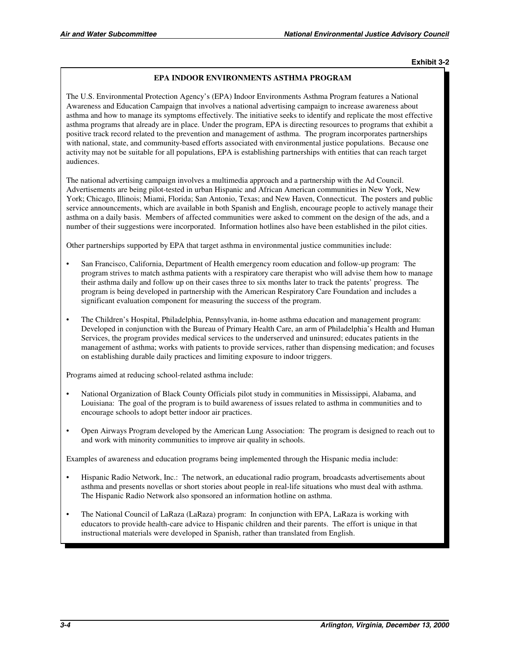#### **EPA INDOOR ENVIRONMENTS ASTHMA PROGRAM**

The U.S. Environmental Protection Agency's (EPA) Indoor Environments Asthma Program features a National Awareness and Education Campaign that involves a national advertising campaign to increase awareness about asthma and how to manage its symptoms effectively. The initiative seeks to identify and replicate the most effective asthma programs that already are in place. Under the program, EPA is directing resources to programs that exhibit a positive track record related to the prevention and management of asthma. The program incorporates partnerships with national, state, and community-based efforts associated with environmental justice populations. Because one activity may not be suitable for all populations, EPA is establishing partnerships with entities that can reach target audiences.

The national advertising campaign involves a multimedia approach and a partnership with the Ad Council. Advertisements are being pilot-tested in urban Hispanic and African American communities in New York, New York; Chicago, Illinois; Miami, Florida; San Antonio, Texas; and New Haven, Connecticut. The posters and public service announcements, which are available in both Spanish and English, encourage people to actively manage their asthma on a daily basis. Members of affected communities were asked to comment on the design of the ads, and a number of their suggestions were incorporated. Information hotlines also have been established in the pilot cities.

Other partnerships supported by EPA that target asthma in environmental justice communities include:

- San Francisco, California, Department of Health emergency room education and follow-up program: The program strives to match asthma patients with a respiratory care therapist who will advise them how to manage their asthma daily and follow up on their cases three to six months later to track the patents' progress. The program is being developed in partnership with the American Respiratory Care Foundation and includes a significant evaluation component for measuring the success of the program.
- The Children's Hospital, Philadelphia, Pennsylvania, in-home asthma education and management program: Developed in conjunction with the Bureau of Primary Health Care, an arm of Philadelphia's Health and Human Services, the program provides medical services to the underserved and uninsured; educates patients in the management of asthma; works with patients to provide services, rather than dispensing medication; and focuses on establishing durable daily practices and limiting exposure to indoor triggers.

Programs aimed at reducing school-related asthma include:

- National Organization of Black County Officials pilot study in communities in Mississippi, Alabama, and Louisiana: The goal of the program is to build awareness of issues related to asthma in communities and to encourage schools to adopt better indoor air practices.
- Open Airways Program developed by the American Lung Association: The program is designed to reach out to and work with minority communities to improve air quality in schools.

Examples of awareness and education programs being implemented through the Hispanic media include:

- Hispanic Radio Network, Inc.: The network, an educational radio program, broadcasts advertisements about asthma and presents novellas or short stories about people in real-life situations who must deal with asthma. The Hispanic Radio Network also sponsored an information hotline on asthma.
- The National Council of LaRaza (LaRaza) program: In conjunction with EPA, LaRaza is working with educators to provide health-care advice to Hispanic children and their parents. The effort is unique in that instructional materials were developed in Spanish, rather than translated from English.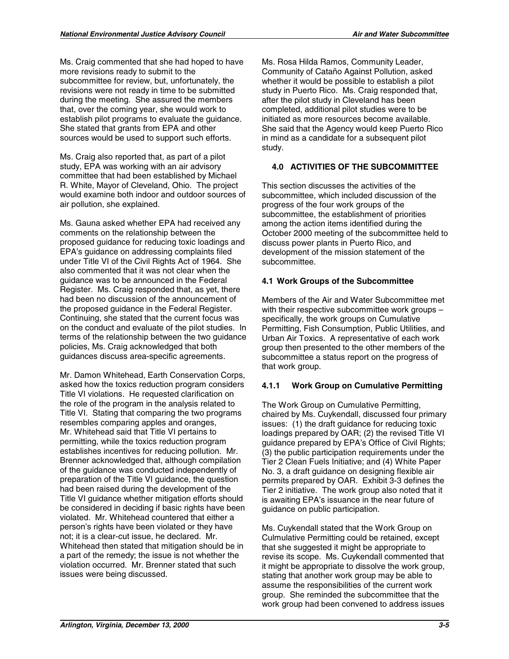Ms. Craig commented that she had hoped to have more revisions ready to submit to the subcommittee for review, but, unfortunately, the revisions were not ready in time to be submitted during the meeting. She assured the members that, over the coming year, she would work to establish pilot programs to evaluate the guidance. She stated that grants from EPA and other sources would be used to support such efforts.

Ms. Craig also reported that, as part of a pilot study, EPA was working with an air advisory committee that had been established by Michael R. White, Mayor of Cleveland, Ohio. The project would examine both indoor and outdoor sources of air pollution, she explained.

Ms. Gauna asked whether EPA had received any comments on the relationship between the proposed guidance for reducing toxic loadings and EPA's guidance on addressing complaints filed under Title VI of the Civil Rights Act of 1964. She also commented that it was not clear when the guidance was to be announced in the Federal Register. Ms. Craig responded that, as yet, there had been no discussion of the announcement of the proposed guidance in the Federal Register. Continuing, she stated that the current focus was on the conduct and evaluate of the pilot studies. In terms of the relationship between the two guidance policies, Ms. Craig acknowledged that both guidances discuss area-specific agreements.

Mr. Damon Whitehead, Earth Conservation Corps, asked how the toxics reduction program considers Title VI violations. He requested clarification on the role of the program in the analysis related to Title VI. Stating that comparing the two programs resembles comparing apples and oranges, Mr. Whitehead said that Title VI pertains to permitting, while the toxics reduction program establishes incentives for reducing pollution. Mr. Brenner acknowledged that, although compilation of the guidance was conducted independently of preparation of the Title VI guidance, the question had been raised during the development of the Title VI guidance whether mitigation efforts should be considered in deciding if basic rights have been violated. Mr. Whitehead countered that either a person's rights have been violated or they have not; it is a clear-cut issue, he declared. Mr. Whitehead then stated that mitigation should be in a part of the remedy; the issue is not whether the violation occurred. Mr. Brenner stated that such issues were being discussed.

Ms. Rosa Hilda Ramos, Community Leader, Community of Cataño Against Pollution, asked whether it would be possible to establish a pilot study in Puerto Rico. Ms. Craig responded that, after the pilot study in Cleveland has been completed, additional pilot studies were to be initiated as more resources become available. She said that the Agency would keep Puerto Rico in mind as a candidate for a subsequent pilot study.

## **4.0 ACTIVITIES OF THE SUBCOMMITTEE**

This section discusses the activities of the subcommittee, which included discussion of the progress of the four work groups of the subcommittee, the establishment of priorities among the action items identified during the October 2000 meeting of the subcommittee held to discuss power plants in Puerto Rico, and development of the mission statement of the subcommittee.

## **4.1 Work Groups of the Subcommittee**

Members of the Air and Water Subcommittee met with their respective subcommittee work groups – specifically, the work groups on Cumulative Permitting, Fish Consumption, Public Utilities, and Urban Air Toxics. A representative of each work group then presented to the other members of the subcommittee a status report on the progress of that work group.

### **4.1.1 Work Group on Cumulative Permitting**

The Work Group on Cumulative Permitting, chaired by Ms. Cuykendall, discussed four primary issues: (1) the draft guidance for reducing toxic loadings prepared by OAR; (2) the revised Title VI guidance prepared by EPA's Office of Civil Rights; (3) the public participation requirements under the Tier 2 Clean Fuels Initiative; and (4) White Paper No. 3, a draft guidance on designing flexible air permits prepared by OAR. Exhibit 3-3 defines the Tier 2 initiative. The work group also noted that it is awaiting EPA's issuance in the near future of guidance on public participation.

Ms. Cuykendall stated that the Work Group on Culmulative Permitting could be retained, except that she suggested it might be appropriate to revise its scope. Ms. Cuykendall commented that it might be appropriate to dissolve the work group, stating that another work group may be able to assume the responsibilities of the current work group. She reminded the subcommittee that the work group had been convened to address issues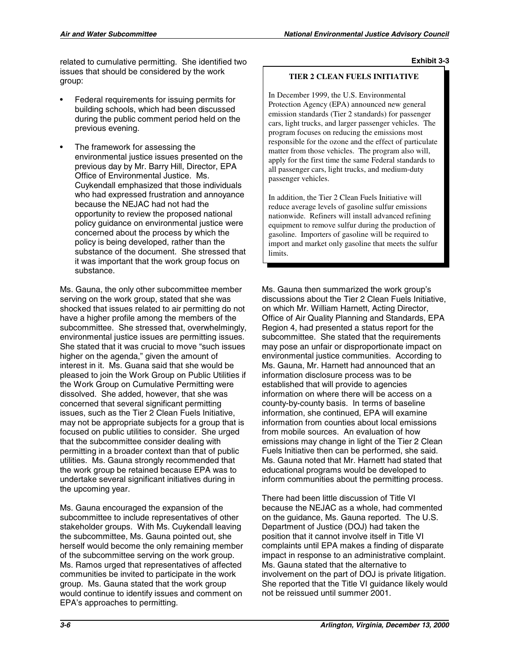related to cumulative permitting. She identified two issues that should be considered by the work group:

- Federal requirements for issuing permits for building schools, which had been discussed during the public comment period held on the previous evening.
- The framework for assessing the environmental justice issues presented on the previous day by Mr. Barry Hill, Director, EPA Office of Environmental Justice. Ms. Cuykendall emphasized that those individuals who had expressed frustration and annoyance because the NEJAC had not had the opportunity to review the proposed national policy guidance on environmental justice were concerned about the process by which the policy is being developed, rather than the substance of the document. She stressed that it was important that the work group focus on substance.

Ms. Gauna, the only other subcommittee member serving on the work group, stated that she was shocked that issues related to air permitting do not have a higher profile among the members of the subcommittee. She stressed that, overwhelmingly, environmental justice issues are permitting issues. She stated that it was crucial to move "such issues higher on the agenda," given the amount of interest in it. Ms. Guana said that she would be pleased to join the Work Group on Public Utilities if the Work Group on Cumulative Permitting were dissolved. She added, however, that she was concerned that several significant permitting issues, such as the Tier 2 Clean Fuels Initiative, may not be appropriate subjects for a group that is focused on public utilities to consider. She urged that the subcommittee consider dealing with permitting in a broader context than that of public utilities. Ms. Gauna strongly recommended that the work group be retained because EPA was to undertake several significant initiatives during in the upcoming year.

Ms. Gauna encouraged the expansion of the subcommittee to include representatives of other stakeholder groups. With Ms. Cuykendall leaving the subcommittee, Ms. Gauna pointed out, she herself would become the only remaining member of the subcommittee serving on the work group. Ms. Ramos urged that representatives of affected communities be invited to participate in the work group. Ms. Gauna stated that the work group would continue to identify issues and comment on EPA's approaches to permitting.

#### **Exhibit 3-3**

#### **TIER 2 CLEAN FUELS INITIATIVE**

In December 1999, the U.S. Environmental Protection Agency (EPA) announced new general emission standards (Tier 2 standards) for passenger cars, light trucks, and larger passenger vehicles. The program focuses on reducing the emissions most responsible for the ozone and the effect of particulate matter from those vehicles. The program also will, apply for the first time the same Federal standards to all passenger cars, light trucks, and medium-duty passenger vehicles.

In addition, the Tier 2 Clean Fuels Initiative will reduce average levels of gasoline sulfur emissions nationwide. Refiners will install advanced refining equipment to remove sulfur during the production of gasoline. Importers of gasoline will be required to import and market only gasoline that meets the sulfur limits.

Ms. Gauna then summarized the work group's discussions about the Tier 2 Clean Fuels Initiative, on which Mr. William Harnett, Acting Director, Office of Air Quality Planning and Standards, EPA Region 4, had presented a status report for the subcommittee. She stated that the requirements may pose an unfair or disproportionate impact on environmental justice communities. According to Ms. Gauna, Mr. Harnett had announced that an information disclosure process was to be established that will provide to agencies information on where there will be access on a county-by-county basis. In terms of baseline information, she continued, EPA will examine information from counties about local emissions from mobile sources. An evaluation of how emissions may change in light of the Tier 2 Clean Fuels Initiative then can be performed, she said. Ms. Gauna noted that Mr. Harnett had stated that educational programs would be developed to inform communities about the permitting process.

There had been little discussion of Title VI because the NEJAC as a whole, had commented on the guidance, Ms. Gauna reported. The U.S. Department of Justice (DOJ) had taken the position that it cannot involve itself in Title VI complaints until EPA makes a finding of disparate impact in response to an administrative complaint. Ms. Gauna stated that the alternative to involvement on the part of DOJ is private litigation. She reported that the Title VI guidance likely would not be reissued until summer 2001.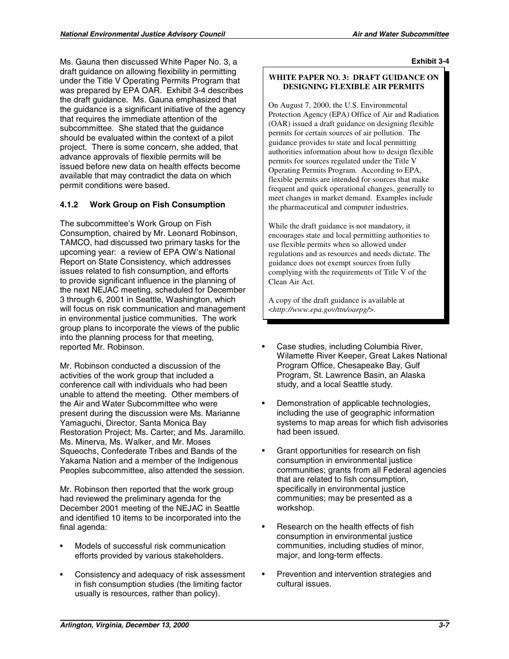Ms. Gauna then discussed White Paper No. 3, a draft guidance on allowing flexibility in permitting under the Title V Operating Permits Program that was prepared by EPA OAR. Exhibit 3-4 describes the draft guidance. Ms. Gauna emphasized that the guidance is a significant initiative of the agency that requires the immediate attention of the subcommittee. She stated that the guidance should be evaluated within the context of a pilot project. There is some concern, she added, that advance approvals of flexible permits will be issued before new data on health effects become available that may contradict the data on which permit conditions were based.

## **4.1.2 Work Group on Fish Consumption**

The subcommittee's Work Group on Fish Consumption, chaired by Mr. Leonard Robinson, TAMCO, had discussed two primary tasks for the upcoming year: a review of EPA OW's National Report on State Consistency, which addresses issues related to fish consumption, and efforts to provide significant influence in the planning of the next NEJAC meeting, scheduled for December 3 through 6, 2001 in Seattle, Washington, which will focus on risk communication and management in environmental justice communities. The work group plans to incorporate the views of the public into the planning process for that meeting, reported Mr. Robinson.

Mr. Robinson conducted a discussion of the activities of the work group that included a conference call with individuals who had been unable to attend the meeting. Other members of the Air and Water Subcommittee who were present during the discussion were Ms. Marianne Yamaguchi, Director, Santa Monica Bay Restoration Project; Ms. Carter; and Ms. Jaramillo. Ms. Minerva, Ms. Walker, and Mr. Moses Squeochs, Confederate Tribes and Bands of the Yakama Nation and a member of the Indigenous Peoples subcommittee, also attended the session.

Mr. Robinson then reported that the work group had reviewed the preliminary agenda for the December 2001 meeting of the NEJAC in Seattle and identified 10 items to be incorporated into the final agenda:

- Models of successful risk communication efforts provided by various stakeholders.
- Consistency and adequacy of risk assessment in fish consumption studies (the limiting factor usually is resources, rather than policy).

**Exhibit 3-4** 

#### **WHITE PAPER NO. 3: DRAFT GUIDANCE ON DESIGNING FLEXIBLE AIR PERMITS**

On August 7, 2000, the U.S. Environmental Protection Agency (EPA) Office of Air and Radiation (OAR) issued a draft guidance on designing flexible permits for certain sources of air pollution. The guidance provides to state and local permitting authorities information about how to design flexible permits for sources regulated under the Title V Operating Permits Program. According to EPA, flexible permits are intended for sources that make frequent and quick operational changes, generally to meet changes in market demand. Examples include the pharmaceutical and computer industries.

While the draft guidance is not mandatory, it encourages state and local permitting authorities to use flexible permits when so allowed under regulations and as resources and needs dictate. The guidance does not exempt sources from fully complying with the requirements of Title V of the Clean Air Act.

A copy of the draft guidance is available at <*http://www.epa.gov/ttn/oarpg/*>.

- • Case studies, including Columbia River, Wilamette River Keeper, Great Lakes National Program Office, Chesapeake Bay, Gulf Program, St. Lawrence Basin, an Alaska study, and a local Seattle study.
- Demonstration of applicable technologies, including the use of geographic information systems to map areas for which fish advisories had been issued.
- Grant opportunities for research on fish consumption in environmental justice communities; grants from all Federal agencies that are related to fish consumption, specifically in environmental justice communities; may be presented as a workshop.
- Research on the health effects of fish consumption in environmental justice communities, including studies of minor, major, and long-term effects.
- Prevention and intervention strategies and cultural issues.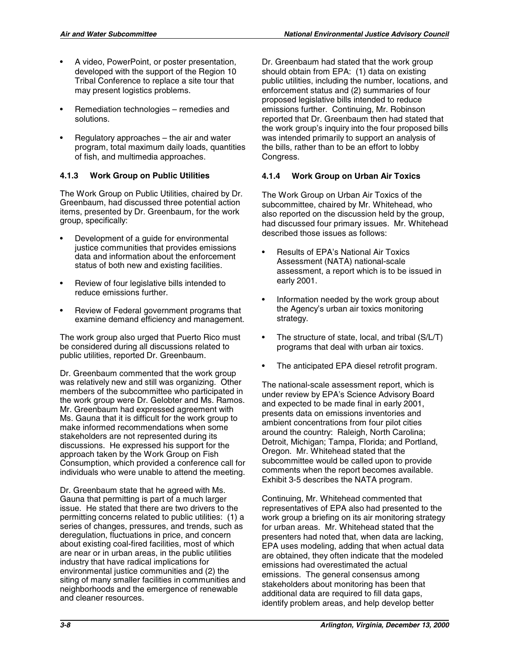- A video, PowerPoint, or poster presentation, developed with the support of the Region 10 Tribal Conference to replace a site tour that may present logistics problems.
- Remediation technologies remedies and solutions.
- Regulatory approaches  $-$  the air and water program, total maximum daily loads, quantities of fish, and multimedia approaches.

## **4.1.3 Work Group on Public Utilities**

The Work Group on Public Utilities, chaired by Dr. Greenbaum, had discussed three potential action items, presented by Dr. Greenbaum, for the work group, specifically:

- Development of a guide for environmental justice communities that provides emissions data and information about the enforcement status of both new and existing facilities.
- Review of four legislative bills intended to reduce emissions further.
- Review of Federal government programs that examine demand efficiency and management.

The work group also urged that Puerto Rico must be considered during all discussions related to public utilities, reported Dr. Greenbaum.

Dr. Greenbaum commented that the work group was relatively new and still was organizing. Other members of the subcommittee who participated in the work group were Dr. Gelobter and Ms. Ramos. Mr. Greenbaum had expressed agreement with Ms. Gauna that it is difficult for the work group to make informed recommendations when some stakeholders are not represented during its discussions. He expressed his support for the approach taken by the Work Group on Fish Consumption, which provided a conference call for individuals who were unable to attend the meeting.

Dr. Greenbaum state that he agreed with Ms. Gauna that permitting is part of a much larger issue. He stated that there are two drivers to the permitting concerns related to public utilities: (1) a series of changes, pressures, and trends, such as deregulation, fluctuations in price, and concern about existing coal-fired facilities, most of which are near or in urban areas, in the public utilities industry that have radical implications for environmental justice communities and (2) the siting of many smaller facilities in communities and neighborhoods and the emergence of renewable and cleaner resources.

Dr. Greenbaum had stated that the work group should obtain from EPA: (1) data on existing public utilities, including the number, locations, and enforcement status and (2) summaries of four proposed legislative bills intended to reduce emissions further. Continuing, Mr. Robinson reported that Dr. Greenbaum then had stated that the work group's inquiry into the four proposed bills was intended primarily to support an analysis of the bills, rather than to be an effort to lobby Congress.

## **4.1.4 Work Group on Urban Air Toxics**

The Work Group on Urban Air Toxics of the subcommittee, chaired by Mr. Whitehead, who also reported on the discussion held by the group, had discussed four primary issues. Mr. Whitehead described those issues as follows:

- **Results of EPA's National Air Toxics** Assessment (NATA) national-scale assessment, a report which is to be issued in early 2001.
- Information needed by the work group about the Agency's urban air toxics monitoring strategy.
- The structure of state, local, and tribal  $(S/L/T)$ programs that deal with urban air toxics.
- The anticipated EPA diesel retrofit program.

The national-scale assessment report, which is under review by EPA's Science Advisory Board and expected to be made final in early 2001, presents data on emissions inventories and ambient concentrations from four pilot cities around the country: Raleigh, North Carolina; Detroit, Michigan; Tampa, Florida; and Portland, Oregon. Mr. Whitehead stated that the subcommittee would be called upon to provide comments when the report becomes available. Exhibit 3-5 describes the NATA program.

Continuing, Mr. Whitehead commented that representatives of EPA also had presented to the work group a briefing on its air monitoring strategy for urban areas. Mr. Whitehead stated that the presenters had noted that, when data are lacking, EPA uses modeling, adding that when actual data are obtained, they often indicate that the modeled emissions had overestimated the actual emissions. The general consensus among stakeholders about monitoring has been that additional data are required to fill data gaps, identify problem areas, and help develop better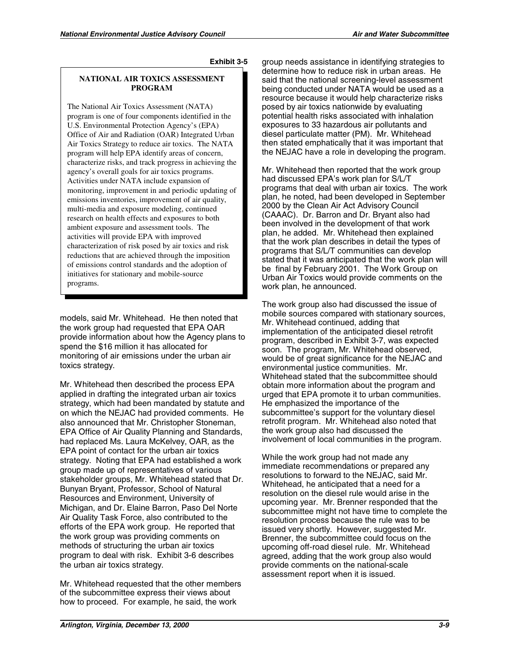#### **NATIONAL AIR TOXICS ASSESSMENT PROGRAM**

The National Air Toxics Assessment (NATA) program is one of four components identified in the U.S. Environmental Protection Agency's (EPA) Office of Air and Radiation (OAR) Integrated Urban Air Toxics Strategy to reduce air toxics. The NATA program will help EPA identify areas of concern, characterize risks, and track progress in achieving the agency's overall goals for air toxics programs. Activities under NATA include expansion of monitoring, improvement in and periodic updating of emissions inventories, improvement of air quality, multi-media and exposure modeling, continued research on health effects and exposures to both ambient exposure and assessment tools. The activities will provide EPA with improved characterization of risk posed by air toxics and risk reductions that are achieved through the imposition of emissions control standards and the adoption of initiatives for stationary and mobile-source programs.

models, said Mr. Whitehead. He then noted that the work group had requested that EPA OAR provide information about how the Agency plans to spend the \$16 million it has allocated for monitoring of air emissions under the urban air toxics strategy.

Mr. Whitehead then described the process EPA applied in drafting the integrated urban air toxics strategy, which had been mandated by statute and on which the NEJAC had provided comments. He also announced that Mr. Christopher Stoneman, EPA Office of Air Quality Planning and Standards, had replaced Ms. Laura McKelvey, OAR, as the EPA point of contact for the urban air toxics strategy. Noting that EPA had established a work group made up of representatives of various stakeholder groups, Mr. Whitehead stated that Dr. Bunyan Bryant, Professor, School of Natural Resources and Environment, University of Michigan, and Dr. Elaine Barron, Paso Del Norte Air Quality Task Force, also contributed to the efforts of the EPA work group. He reported that the work group was providing comments on methods of structuring the urban air toxics program to deal with risk. Exhibit 3-6 describes the urban air toxics strategy.

Mr. Whitehead requested that the other members of the subcommittee express their views about how to proceed. For example, he said, the work

group needs assistance in identifying strategies to determine how to reduce risk in urban areas. He said that the national screening-level assessment being conducted under NATA would be used as a resource because it would help characterize risks posed by air toxics nationwide by evaluating potential health risks associated with inhalation exposures to 33 hazardous air pollutants and diesel particulate matter (PM). Mr. Whitehead then stated emphatically that it was important that the NEJAC have a role in developing the program.

Mr. Whitehead then reported that the work group had discussed EPA's work plan for S/L/T programs that deal with urban air toxics. The work plan, he noted, had been developed in September 2000 by the Clean Air Act Advisory Council (CAAAC). Dr. Barron and Dr. Bryant also had been involved in the development of that work plan, he added. Mr. Whitehead then explained that the work plan describes in detail the types of programs that S/L/T communities can develop stated that it was anticipated that the work plan will be final by February 2001. The Work Group on Urban Air Toxics would provide comments on the work plan, he announced.

The work group also had discussed the issue of mobile sources compared with stationary sources, Mr. Whitehead continued, adding that implementation of the anticipated diesel retrofit program, described in Exhibit 3-7, was expected soon. The program, Mr. Whitehead observed, would be of great significance for the NEJAC and environmental justice communities. Mr. Whitehead stated that the subcommittee should obtain more information about the program and urged that EPA promote it to urban communities. He emphasized the importance of the subcommittee's support for the voluntary diesel retrofit program. Mr. Whitehead also noted that the work group also had discussed the involvement of local communities in the program.

While the work group had not made any immediate recommendations or prepared any resolutions to forward to the NEJAC, said Mr. Whitehead, he anticipated that a need for a resolution on the diesel rule would arise in the upcoming year. Mr. Brenner responded that the subcommittee might not have time to complete the resolution process because the rule was to be issued very shortly. However, suggested Mr. Brenner, the subcommittee could focus on the upcoming off-road diesel rule. Mr. Whitehead agreed, adding that the work group also would provide comments on the national-scale assessment report when it is issued.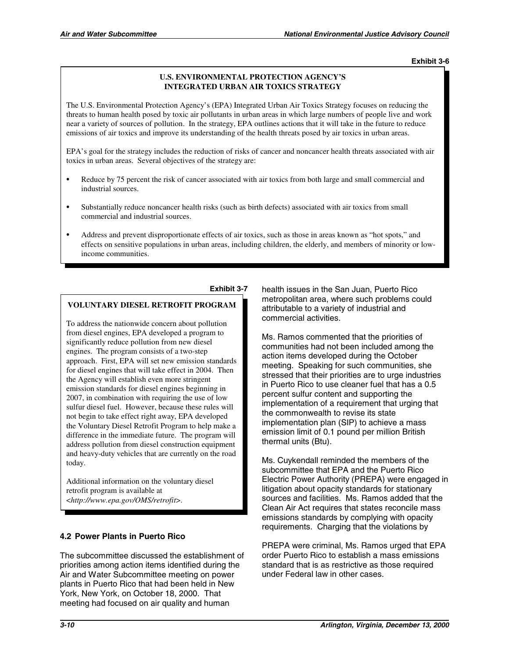#### **U.S. ENVIRONMENTAL PROTECTION AGENCY'S INTEGRATED URBAN AIR TOXICS STRATEGY**

The U.S. Environmental Protection Agency's (EPA) Integrated Urban Air Toxics Strategy focuses on reducing the threats to human health posed by toxic air pollutants in urban areas in which large numbers of people live and work near a variety of sources of pollution. In the strategy, EPA outlines actions that it will take in the future to reduce emissions of air toxics and improve its understanding of the health threats posed by air toxics in urban areas.

EPA's goal for the strategy includes the reduction of risks of cancer and noncancer health threats associated with air toxics in urban areas. Several objectives of the strategy are:

- Reduce by 75 percent the risk of cancer associated with air toxics from both large and small commercial and industrial sources.
- Substantially reduce noncancer health risks (such as birth defects) associated with air toxics from small commercial and industrial sources.
- Address and prevent disproportionate effects of air toxics, such as those in areas known as "hot spots," and effects on sensitive populations in urban areas, including children, the elderly, and members of minority or lowincome communities.

#### **Exhibit 3-7**

## **VOLUNTARY DIESEL RETROFIT PROGRAM**

To address the nationwide concern about pollution from diesel engines, EPA developed a program to significantly reduce pollution from new diesel engines. The program consists of a two-step approach. First, EPA will set new emission standards for diesel engines that will take effect in 2004. Then the Agency will establish even more stringent emission standards for diesel engines beginning in 2007, in combination with requiring the use of low sulfur diesel fuel. However, because these rules will not begin to take effect right away, EPA developed the Voluntary Diesel Retrofit Program to help make a difference in the immediate future. The program will address pollution from diesel construction equipment and heavy-duty vehicles that are currently on the road today.

Additional information on the voluntary diesel retrofit program is available at <*http://www.epa.gov/OMS/retrofit*>.

### **4.2 Power Plants in Puerto Rico**

The subcommittee discussed the establishment of priorities among action items identified during the Air and Water Subcommittee meeting on power plants in Puerto Rico that had been held in New York, New York, on October 18, 2000. That meeting had focused on air quality and human

health issues in the San Juan, Puerto Rico metropolitan area, where such problems could attributable to a variety of industrial and commercial activities.

Ms. Ramos commented that the priorities of communities had not been included among the action items developed during the October meeting. Speaking for such communities, she stressed that their priorities are to urge industries in Puerto Rico to use cleaner fuel that has a 0.5 percent sulfur content and supporting the implementation of a requirement that urging that the commonwealth to revise its state implementation plan (SIP) to achieve a mass emission limit of 0.1 pound per million British thermal units (Btu).

Ms. Cuykendall reminded the members of the subcommittee that EPA and the Puerto Rico Electric Power Authority (PREPA) were engaged in litigation about opacity standards for stationary sources and facilities. Ms. Ramos added that the Clean Air Act requires that states reconcile mass emissions standards by complying with opacity requirements. Charging that the violations by

PREPA were criminal, Ms. Ramos urged that EPA order Puerto Rico to establish a mass emissions standard that is as restrictive as those required under Federal law in other cases.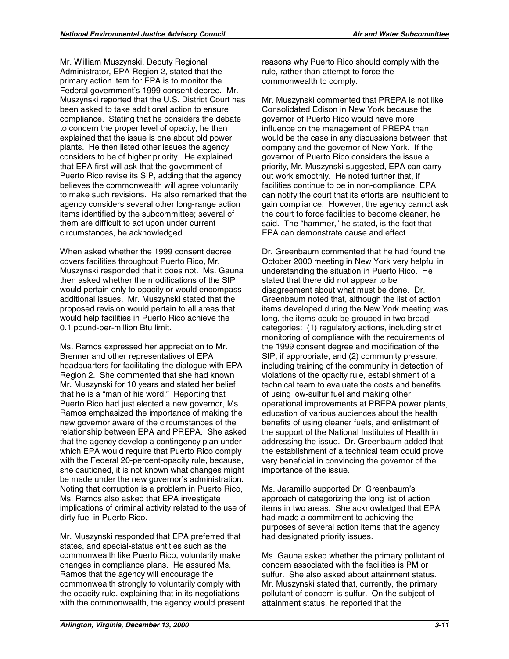Mr. William Muszynski, Deputy Regional Administrator, EPA Region 2, stated that the primary action item for EPA is to monitor the Federal government's 1999 consent decree. Mr. Muszynski reported that the U.S. District Court has been asked to take additional action to ensure compliance. Stating that he considers the debate to concern the proper level of opacity, he then explained that the issue is one about old power plants. He then listed other issues the agency considers to be of higher priority. He explained that EPA first will ask that the government of Puerto Rico revise its SIP, adding that the agency believes the commonwealth will agree voluntarily to make such revisions. He also remarked that the agency considers several other long-range action items identified by the subcommittee; several of them are difficult to act upon under current circumstances, he acknowledged.

When asked whether the 1999 consent decree covers facilities throughout Puerto Rico, Mr. Muszynski responded that it does not. Ms. Gauna then asked whether the modifications of the SIP would pertain only to opacity or would encompass additional issues. Mr. Muszynski stated that the proposed revision would pertain to all areas that would help facilities in Puerto Rico achieve the 0.1 pound-per-million Btu limit.

Ms. Ramos expressed her appreciation to Mr. Brenner and other representatives of EPA headquarters for facilitating the dialogue with EPA Region 2. She commented that she had known Mr. Muszynski for 10 years and stated her belief that he is a "man of his word." Reporting that Puerto Rico had just elected a new governor, Ms. Ramos emphasized the importance of making the new governor aware of the circumstances of the relationship between EPA and PREPA. She asked that the agency develop a contingency plan under which EPA would require that Puerto Rico comply with the Federal 20-percent-opacity rule, because, she cautioned, it is not known what changes might be made under the new governor's administration. Noting that corruption is a problem in Puerto Rico, Ms. Ramos also asked that EPA investigate implications of criminal activity related to the use of dirty fuel in Puerto Rico.

Mr. Muszynski responded that EPA preferred that states, and special-status entities such as the commonwealth like Puerto Rico, voluntarily make changes in compliance plans. He assured Ms. Ramos that the agency will encourage the commonwealth strongly to voluntarily comply with the opacity rule, explaining that in its negotiations with the commonwealth, the agency would present reasons why Puerto Rico should comply with the rule, rather than attempt to force the commonwealth to comply.

Mr. Muszynski commented that PREPA is not like Consolidated Edison in New York because the governor of Puerto Rico would have more influence on the management of PREPA than would be the case in any discussions between that company and the governor of New York. If the governor of Puerto Rico considers the issue a priority, Mr. Muszynski suggested, EPA can carry out work smoothly. He noted further that, if facilities continue to be in non-compliance, EPA can notify the court that its efforts are insufficient to gain compliance. However, the agency cannot ask the court to force facilities to become cleaner, he said. The "hammer," he stated, is the fact that EPA can demonstrate cause and effect.

Dr. Greenbaum commented that he had found the October 2000 meeting in New York very helpful in understanding the situation in Puerto Rico. He stated that there did not appear to be disagreement about what must be done. Dr. Greenbaum noted that, although the list of action items developed during the New York meeting was long, the items could be grouped in two broad categories: (1) regulatory actions, including strict monitoring of compliance with the requirements of the 1999 consent degree and modification of the SIP, if appropriate, and (2) community pressure, including training of the community in detection of violations of the opacity rule, establishment of a technical team to evaluate the costs and benefits of using low-sulfur fuel and making other operational improvements at PREPA power plants, education of various audiences about the health benefits of using cleaner fuels, and enlistment of the support of the National Institutes of Health in addressing the issue. Dr. Greenbaum added that the establishment of a technical team could prove very beneficial in convincing the governor of the importance of the issue.

Ms. Jaramillo supported Dr. Greenbaum's approach of categorizing the long list of action items in two areas. She acknowledged that EPA had made a commitment to achieving the purposes of several action items that the agency had designated priority issues.

Ms. Gauna asked whether the primary pollutant of concern associated with the facilities is PM or sulfur. She also asked about attainment status. Mr. Muszynski stated that, currently, the primary pollutant of concern is sulfur. On the subject of attainment status, he reported that the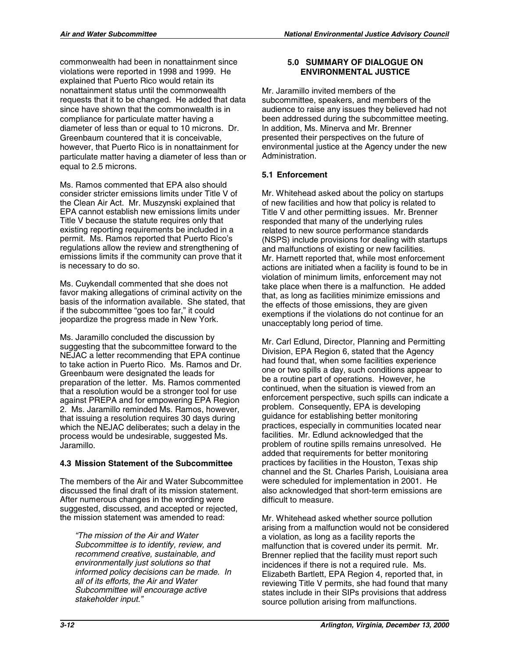commonwealth had been in nonattainment since violations were reported in 1998 and 1999. He explained that Puerto Rico would retain its nonattainment status until the commonwealth requests that it to be changed. He added that data since have shown that the commonwealth is in compliance for particulate matter having a diameter of less than or equal to 10 microns. Dr. Greenbaum countered that it is conceivable, however, that Puerto Rico is in nonattainment for particulate matter having a diameter of less than or equal to 2.5 microns.

Ms. Ramos commented that EPA also should consider stricter emissions limits under Title V of the Clean Air Act. Mr. Muszynski explained that EPA cannot establish new emissions limits under Title V because the statute requires only that existing reporting requirements be included in a permit. Ms. Ramos reported that Puerto Rico's regulations allow the review and strengthening of emissions limits if the community can prove that it is necessary to do so.

Ms. Cuykendall commented that she does not favor making allegations of criminal activity on the basis of the information available. She stated, that if the subcommittee "goes too far," it could jeopardize the progress made in New York.

Ms. Jaramillo concluded the discussion by suggesting that the subcommittee forward to the NEJAC a letter recommending that EPA continue to take action in Puerto Rico. Ms. Ramos and Dr. Greenbaum were designated the leads for preparation of the letter. Ms. Ramos commented that a resolution would be a stronger tool for use against PREPA and for empowering EPA Region 2. Ms. Jaramillo reminded Ms. Ramos, however, that issuing a resolution requires 30 days during which the NEJAC deliberates; such a delay in the process would be undesirable, suggested Ms. Jaramillo.

## **4.3 Mission Statement of the Subcommittee**

The members of the Air and Water Subcommittee discussed the final draft of its mission statement. After numerous changes in the wording were suggested, discussed, and accepted or rejected, the mission statement was amended to read:

*"The mission of the Air and Water Subcommittee is to identify, review, and recommend creative, sustainable, and environmentally just solutions so that informed policy decisions can be made. In all of its efforts, the Air and Water Subcommittee will encourage active stakeholder input."* 

## **5.0 SUMMARY OF DIALOGUE ON ENVIRONMENTAL JUSTICE**

Mr. Jaramillo invited members of the subcommittee, speakers, and members of the audience to raise any issues they believed had not been addressed during the subcommittee meeting. In addition, Ms. Minerva and Mr. Brenner presented their perspectives on the future of environmental justice at the Agency under the new Administration.

## **5.1 Enforcement**

Mr. Whitehead asked about the policy on startups of new facilities and how that policy is related to Title V and other permitting issues. Mr. Brenner responded that many of the underlying rules related to new source performance standards (NSPS) include provisions for dealing with startups and malfunctions of existing or new facilities. Mr. Harnett reported that, while most enforcement actions are initiated when a facility is found to be in violation of minimum limits, enforcement may not take place when there is a malfunction. He added that, as long as facilities minimize emissions and the effects of those emissions, they are given exemptions if the violations do not continue for an unacceptably long period of time.

Mr. Carl Edlund, Director, Planning and Permitting Division, EPA Region 6, stated that the Agency had found that, when some facilities experience one or two spills a day, such conditions appear to be a routine part of operations. However, he continued, when the situation is viewed from an enforcement perspective, such spills can indicate a problem. Consequently, EPA is developing guidance for establishing better monitoring practices, especially in communities located near facilities. Mr. Edlund acknowledged that the problem of routine spills remains unresolved. He added that requirements for better monitoring practices by facilities in the Houston, Texas ship channel and the St. Charles Parish, Louisiana area were scheduled for implementation in 2001. He also acknowledged that short-term emissions are difficult to measure.

Mr. Whitehead asked whether source pollution arising from a malfunction would not be considered a violation, as long as a facility reports the malfunction that is covered under its permit. Mr. Brenner replied that the facility must report such incidences if there is not a required rule. Ms. Elizabeth Bartlett, EPA Region 4, reported that, in reviewing Title V permits, she had found that many states include in their SIPs provisions that address source pollution arising from malfunctions.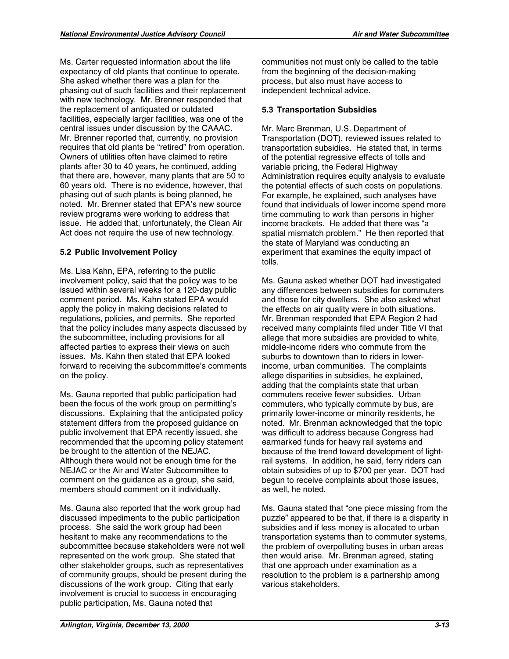Ms. Carter requested information about the life expectancy of old plants that continue to operate. She asked whether there was a plan for the phasing out of such facilities and their replacement with new technology. Mr. Brenner responded that the replacement of antiquated or outdated facilities, especially larger facilities, was one of the central issues under discussion by the CAAAC. Mr. Brenner reported that, currently, no provision requires that old plants be "retired" from operation. Owners of utilities often have claimed to retire plants after 30 to 40 years, he continued, adding that there are, however, many plants that are 50 to 60 years old. There is no evidence, however, that phasing out of such plants is being planned, he noted. Mr. Brenner stated that EPA's new source review programs were working to address that issue. He added that, unfortunately, the Clean Air Act does not require the use of new technology.

## **5.2 Public Involvement Policy**

Ms. Lisa Kahn, EPA, referring to the public involvement policy, said that the policy was to be issued within several weeks for a 120-day public comment period. Ms. Kahn stated EPA would apply the policy in making decisions related to regulations, policies, and permits. She reported that the policy includes many aspects discussed by the subcommittee, including provisions for all affected parties to express their views on such issues. Ms. Kahn then stated that EPA looked forward to receiving the subcommittee's comments on the policy.

Ms. Gauna reported that public participation had been the focus of the work group on permitting's discussions. Explaining that the anticipated policy statement differs from the proposed guidance on public involvement that EPA recently issued, she recommended that the upcoming policy statement be brought to the attention of the NEJAC. Although there would not be enough time for the NEJAC or the Air and Water Subcommittee to comment on the guidance as a group, she said, members should comment on it individually.

Ms. Gauna also reported that the work group had discussed impediments to the public participation process. She said the work group had been hesitant to make any recommendations to the subcommittee because stakeholders were not well represented on the work group. She stated that other stakeholder groups, such as representatives of community groups, should be present during the discussions of the work group. Citing that early involvement is crucial to success in encouraging public participation, Ms. Gauna noted that

communities not must only be called to the table from the beginning of the decision-making process, but also must have access to independent technical advice.

## **5.3 Transportation Subsidies**

Mr. Marc Brenman, U.S. Department of Transportation (DOT), reviewed issues related to transportation subsidies. He stated that, in terms of the potential regressive effects of tolls and variable pricing, the Federal Highway Administration requires equity analysis to evaluate the potential effects of such costs on populations. For example, he explained, such analyses have found that individuals of lower income spend more time commuting to work than persons in higher income brackets. He added that there was "a spatial mismatch problem." He then reported that the state of Maryland was conducting an experiment that examines the equity impact of tolls.

Ms. Gauna asked whether DOT had investigated any differences between subsidies for commuters and those for city dwellers. She also asked what the effects on air quality were in both situations. Mr. Brenman responded that EPA Region 2 had received many complaints filed under Title VI that allege that more subsidies are provided to white, middle-income riders who commute from the suburbs to downtown than to riders in lowerincome, urban communities. The complaints allege disparities in subsidies, he explained, adding that the complaints state that urban commuters receive fewer subsidies. Urban commuters, who typically commute by bus, are primarily lower-income or minority residents, he noted. Mr. Brenman acknowledged that the topic was difficult to address because Congress had earmarked funds for heavy rail systems and because of the trend toward development of lightrail systems. In addition, he said, ferry riders can obtain subsidies of up to \$700 per year. DOT had begun to receive complaints about those issues, as well, he noted.

Ms. Gauna stated that "one piece missing from the puzzle" appeared to be that, if there is a disparity in subsidies and if less money is allocated to urban transportation systems than to commuter systems, the problem of overpolluting buses in urban areas then would arise. Mr. Brenman agreed, stating that one approach under examination as a resolution to the problem is a partnership among various stakeholders.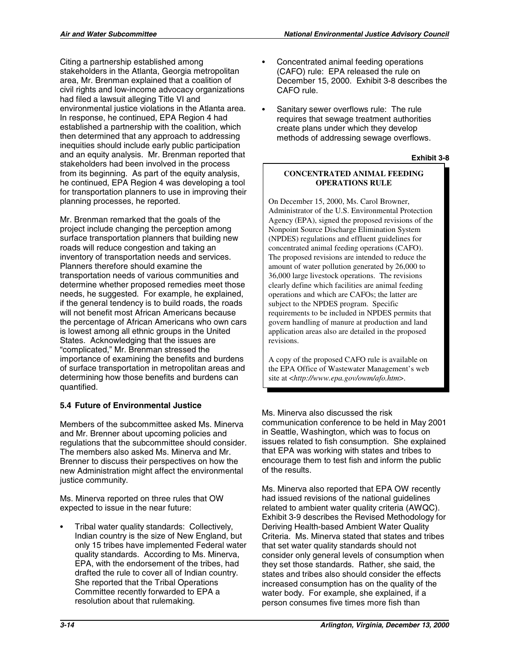Citing a partnership established among stakeholders in the Atlanta, Georgia metropolitan area, Mr. Brenman explained that a coalition of civil rights and low-income advocacy organizations had filed a lawsuit alleging Title VI and environmental justice violations in the Atlanta area. In response, he continued, EPA Region 4 had established a partnership with the coalition, which then determined that any approach to addressing inequities should include early public participation and an equity analysis. Mr. Brenman reported that stakeholders had been involved in the process from its beginning. As part of the equity analysis, he continued, EPA Region 4 was developing a tool for transportation planners to use in improving their planning processes, he reported.

Mr. Brenman remarked that the goals of the project include changing the perception among surface transportation planners that building new roads will reduce congestion and taking an inventory of transportation needs and services. Planners therefore should examine the transportation needs of various communities and determine whether proposed remedies meet those needs, he suggested. For example, he explained, if the general tendency is to build roads, the roads will not benefit most African Americans because the percentage of African Americans who own cars is lowest among all ethnic groups in the United States. Acknowledging that the issues are "complicated," Mr. Brenman stressed the importance of examining the benefits and burdens of surface transportation in metropolitan areas and determining how those benefits and burdens can quantified.

## **5.4 Future of Environmental Justice**

Members of the subcommittee asked Ms. Minerva and Mr. Brenner about upcoming policies and regulations that the subcommittee should consider. The members also asked Ms. Minerva and Mr. Brenner to discuss their perspectives on how the new Administration might affect the environmental justice community.

Ms. Minerva reported on three rules that OW expected to issue in the near future:

Tribal water quality standards: Collectively, Indian country is the size of New England, but only 15 tribes have implemented Federal water quality standards. According to Ms. Minerva, EPA, with the endorsement of the tribes, had drafted the rule to cover all of Indian country. She reported that the Tribal Operations Committee recently forwarded to EPA a resolution about that rulemaking.

- Concentrated animal feeding operations (CAFO) rule: EPA released the rule on December 15, 2000. Exhibit 3-8 describes the CAFO rule.
- Sanitary sewer overflows rule: The rule requires that sewage treatment authorities create plans under which they develop methods of addressing sewage overflows.

#### **Exhibit 3-8**

#### **CONCENTRATED ANIMAL FEEDING OPERATIONS RULE**

On December 15, 2000, Ms. Carol Browner, Administrator of the U.S. Environmental Protection Agency (EPA), signed the proposed revisions of the Nonpoint Source Discharge Elimination System (NPDES) regulations and effluent guidelines for concentrated animal feeding operations (CAFO). The proposed revisions are intended to reduce the amount of water pollution generated by 26,000 to 36,000 large livestock operations. The revisions clearly define which facilities are animal feeding operations and which are CAFOs; the latter are subject to the NPDES program. Specific requirements to be included in NPDES permits that govern handling of manure at production and land application areas also are detailed in the proposed revisions.

A copy of the proposed CAFO rule is available on the EPA Office of Wastewater Management's web site at <*http://www.epa.gov/owm/afo.htm*>.

Ms. Minerva also discussed the risk communication conference to be held in May 2001 in Seattle, Washington, which was to focus on issues related to fish consumption. She explained that EPA was working with states and tribes to encourage them to test fish and inform the public of the results.

Ms. Minerva also reported that EPA OW recently had issued revisions of the national guidelines related to ambient water quality criteria (AWQC). Exhibit 3-9 describes the Revised Methodology for Deriving Health-based Ambient Water Quality Criteria. Ms. Minerva stated that states and tribes that set water quality standards should not consider only general levels of consumption when they set those standards. Rather, she said, the states and tribes also should consider the effects increased consumption has on the quality of the water body. For example, she explained, if a person consumes five times more fish than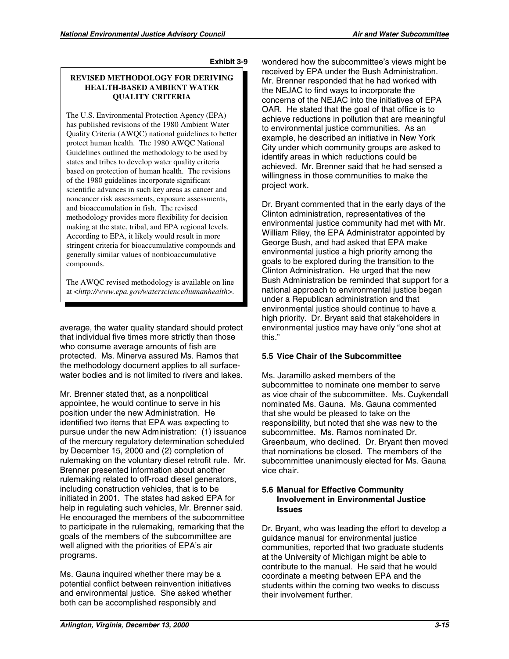#### **REVISED METHODOLOGY FOR DERIVING HEALTH-BASED AMBIENT WATER QUALITY CRITERIA**

The U.S. Environmental Protection Agency (EPA) has published revisions of the 1980 Ambient Water Quality Criteria (AWQC) national guidelines to better protect human health. The 1980 AWQC National Guidelines outlined the methodology to be used by states and tribes to develop water quality criteria based on protection of human health. The revisions of the 1980 guidelines incorporate significant scientific advances in such key areas as cancer and noncancer risk assessments, exposure assessments, and bioaccumulation in fish. The revised methodology provides more flexibility for decision making at the state, tribal, and EPA regional levels. According to EPA, it likely would result in more stringent criteria for bioaccumulative compounds and generally similar values of nonbioaccumulative compounds.

The AWQC revised methodology is available on line at <*http://www.epa.gov/waterscience/humanhealth*>.

average, the water quality standard should protect that individual five times more strictly than those who consume average amounts of fish are protected. Ms. Minerva assured Ms. Ramos that the methodology document applies to all surfacewater bodies and is not limited to rivers and lakes.

Mr. Brenner stated that, as a nonpolitical appointee, he would continue to serve in his position under the new Administration. He identified two items that EPA was expecting to pursue under the new Administration: (1) issuance of the mercury regulatory determination scheduled by December 15, 2000 and (2) completion of rulemaking on the voluntary diesel retrofit rule. Mr. Brenner presented information about another rulemaking related to off-road diesel generators, including construction vehicles, that is to be initiated in 2001. The states had asked EPA for help in regulating such vehicles, Mr. Brenner said. He encouraged the members of the subcommittee to participate in the rulemaking, remarking that the goals of the members of the subcommittee are well aligned with the priorities of EPA's air programs.

Ms. Gauna inquired whether there may be a potential conflict between reinvention initiatives and environmental justice. She asked whether both can be accomplished responsibly and

wondered how the subcommittee's views might be received by EPA under the Bush Administration. Mr. Brenner responded that he had worked with the NEJAC to find ways to incorporate the concerns of the NEJAC into the initiatives of EPA OAR. He stated that the goal of that office is to achieve reductions in pollution that are meaningful to environmental justice communities. As an example, he described an initiative in New York City under which community groups are asked to identify areas in which reductions could be achieved. Mr. Brenner said that he had sensed a willingness in those communities to make the project work.

Dr. Bryant commented that in the early days of the Clinton administration, representatives of the environmental justice community had met with Mr. William Riley, the EPA Administrator appointed by George Bush, and had asked that EPA make environmental justice a high priority among the goals to be explored during the transition to the Clinton Administration. He urged that the new Bush Administration be reminded that support for a national approach to environmental justice began under a Republican administration and that environmental justice should continue to have a high priority. Dr. Bryant said that stakeholders in environmental justice may have only "one shot at this."

### **5.5 Vice Chair of the Subcommittee**

Ms. Jaramillo asked members of the subcommittee to nominate one member to serve as vice chair of the subcommittee. Ms. Cuykendall nominated Ms. Gauna. Ms. Gauna commented that she would be pleased to take on the responsibility, but noted that she was new to the subcommittee. Ms. Ramos nominated Dr. Greenbaum, who declined. Dr. Bryant then moved that nominations be closed. The members of the subcommittee unanimously elected for Ms. Gauna vice chair.

#### **5.6 Manual for Effective Community Involvement in Environmental Justice Issues**

Dr. Bryant, who was leading the effort to develop a guidance manual for environmental justice communities, reported that two graduate students at the University of Michigan might be able to contribute to the manual. He said that he would coordinate a meeting between EPA and the students within the coming two weeks to discuss their involvement further.